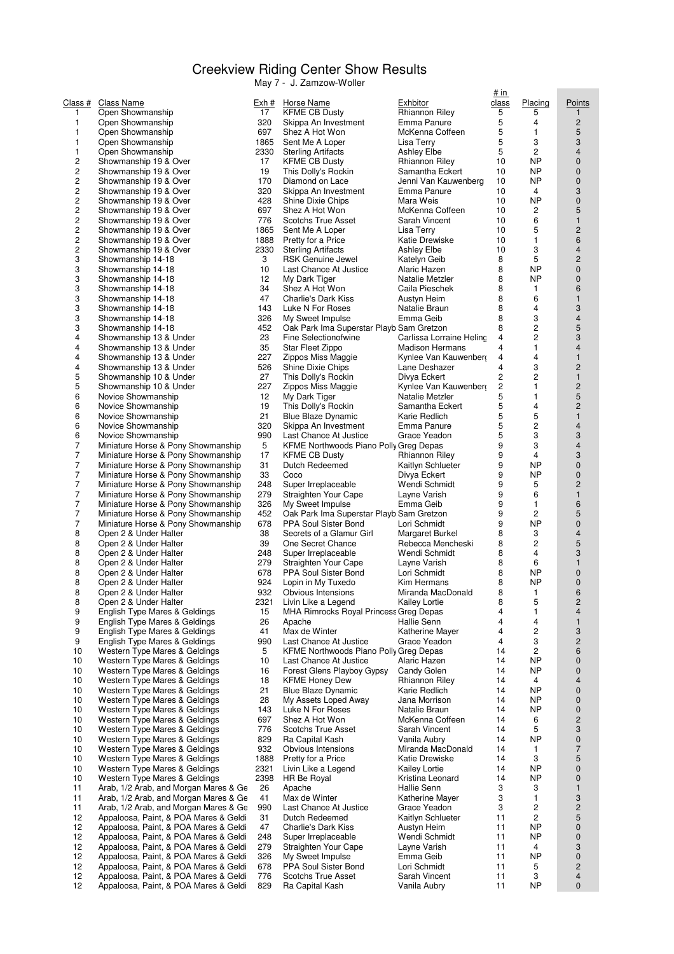## Creekview Riding Center Show Results

May 7 - J. Zamzow-Woller

| <u>Class #</u> | <b>Class Name</b>                                                              | <u>Exh #</u> | <b>Horse Name</b>                                            | <u>Exhbitor</u>       |
|----------------|--------------------------------------------------------------------------------|--------------|--------------------------------------------------------------|-----------------------|
| 1              | Open Showmanship                                                               | 17           | <b>KFME CB Dusty</b>                                         | Rhianno               |
| 1              | Open Showmanship                                                               | 320          | Skippa An Investment                                         | Emma F                |
| 1              | Open Showmanship                                                               | 697          | Shez A Hot Won                                               | McKenn                |
| 1<br>1         | Open Showmanship<br>Open Showmanship                                           | 1865<br>2330 | Sent Me A Loper<br><b>Sterling Artifacts</b>                 | Lisa Ter<br>Ashley E  |
| 2              | Showmanship 19 & Over                                                          | 17           | <b>KFME CB Dusty</b>                                         | Rhianno               |
| 2              | Showmanship 19 & Over                                                          | 19           | This Dolly's Rockin                                          | Samantl               |
| $\overline{c}$ | Showmanship 19 & Over                                                          | 170          | Diamond on Lace                                              | Jenni Va              |
| 2              | Showmanship 19 & Over                                                          | 320          | Skippa An Investment                                         | Emma F                |
| 2              | Showmanship 19 & Over                                                          | 428          | Shine Dixie Chips                                            | Mara W                |
| 2              | Showmanship 19 & Over                                                          | 697          | Shez A Hot Won                                               | McKenn                |
| $\overline{c}$ | Showmanship 19 & Over                                                          | 776          | Scotchs True Asset                                           | Sarah V               |
| 2<br>2         | Showmanship 19 & Over                                                          | 1865<br>1888 | Sent Me A Loper                                              | Lisa Ter              |
| 2              | Showmanship 19 & Over<br>Showmanship 19 & Over                                 | 2330         | Pretty for a Price<br><b>Sterling Artifacts</b>              | Katie Dr<br>Ashley E  |
| 3              | Showmanship 14-18                                                              | 3            | RSK Genuine Jewel                                            | Katelyn               |
| 3              | Showmanship 14-18                                                              | 10           | Last Chance At Justice                                       | Alaric H              |
| 3              | Showmanship 14-18                                                              | 12           | My Dark Tiger                                                | Natalie I             |
| 3              | Showmanship 14-18                                                              | 34           | Shez A Hot Won                                               | Caila Pi              |
| 3              | Showmanship 14-18                                                              | 47           | Charlie's Dark Kiss                                          | Austyn F              |
| 3              | Showmanship 14-18                                                              | 143          | Luke N For Roses                                             | Natalie I             |
| 3              | Showmanship 14-18                                                              | 326          | My Sweet Impulse                                             | Emma C                |
| 3<br>4         | Showmanship 14-18                                                              | 452<br>23    | Oak Park Ima Superstar Playb Sam Gre<br>Fine Selectionofwine | Carlissa              |
| 4              | Showmanship 13 & Under<br>Showmanship 13 & Under                               | 35           | Star Fleet Zippo                                             | Madisor               |
| 4              | Showmanship 13 & Under                                                         | 227          | Zippos Miss Maggie                                           | Kynlee \              |
| 4              | Showmanship 13 & Under                                                         | 526          | Shine Dixie Chips                                            | Lane De               |
| 5              | Showmanship 10 & Under                                                         | 27           | This Dolly's Rockin                                          | Divya E               |
| 5              | Showmanship 10 & Under                                                         | 227          | Zippos Miss Maggie                                           | Kynlee \              |
| 6              | Novice Showmanship                                                             | 12           | My Dark Tiger                                                | Natalie I             |
| 6              | Novice Showmanship                                                             | 19           | This Dolly's Rockin                                          | Samantl               |
| 6              | Novice Showmanship                                                             | 21           | <b>Blue Blaze Dynamic</b>                                    | Karie Re              |
| 6<br>6         | Novice Showmanship<br>Novice Showmanship                                       | 320<br>990   | Skippa An Investment<br>Last Chance At Justice               | Emma F<br>Grace Y     |
| 7              | Miniature Horse & Pony Showmanship                                             | 5            | KFME Northwoods Piano Polly Greg De                          |                       |
| 7              | Miniature Horse & Pony Showmanship                                             | 17           | <b>KFME CB Dusty</b>                                         | Rhianno               |
| 7              | Miniature Horse & Pony Showmanship                                             | 31           | Dutch Redeemed                                               | Kaitlyn S             |
| 7              | Miniature Horse & Pony Showmanship                                             | 33           | Coco                                                         | Divya E               |
| 7              | Miniature Horse & Pony Showmanship                                             | 248          | Super Irreplaceable                                          | Wendi S               |
| 7              | Miniature Horse & Pony Showmanship                                             | 279          | Straighten Your Cape                                         | Layne V               |
| 7              | Miniature Horse & Pony Showmanship                                             | 326          | My Sweet Impulse                                             | Emma C                |
| 7<br>7         | Miniature Horse & Pony Showmanship<br>Miniature Horse & Pony Showmanship       | 452<br>678   | Oak Park Ima Superstar Playb Sam Gre<br>PPA Soul Sister Bond | Lori Sch              |
| 8              | Open 2 & Under Halter                                                          | 38           | Secrets of a Glamur Girl                                     | Margare               |
| 8              | Open 2 & Under Halter                                                          | 39           | One Secret Chance                                            | Rebecca               |
| 8              | Open 2 & Under Halter                                                          | 248          | Super Irreplaceable                                          | Wendi S               |
| 8              | Open 2 & Under Halter                                                          | 279          | Straighten Your Cape                                         | Layne V               |
| 8              | Open 2 & Under Halter                                                          | 678          | PPA Soul Sister Bond                                         | Lori Sch              |
| 8              | Open 2 & Under Halter                                                          | 924          | Lopin in My Tuxedo                                           | Kim Her               |
| 8              | Open 2 & Under Halter                                                          | 932          | Obvious Intensions                                           | Miranda               |
| 8              | Open 2 & Under Halter                                                          | 2321         | Livin Like a Legend                                          | Kailey L              |
| 9<br>9         | English Type Mares & Geldings<br>English Type Mares & Geldings                 | 15<br>26     | MHA Rimrocks Royal Princess Greg De<br>Apache                | Hallie S              |
| 9              | English Type Mares & Geldings                                                  | 41           | Max de Winter                                                | Katherin              |
| 9              | English Type Mares & Geldings                                                  | 990          | Last Chance At Justice                                       | Grace Y               |
| 10             | Western Type Mares & Geldings                                                  | 5            | KFME Northwoods Piano Polly Greg De                          |                       |
| 10             | Western Type Mares & Geldings                                                  | 10           | Last Chance At Justice                                       | Alaric H              |
| 10             | Western Type Mares & Geldings                                                  | 16           | Forest Glens Playboy Gypsy                                   | Candy C               |
| 10             | Western Type Mares & Geldings                                                  | 18           | <b>KFME Honey Dew</b>                                        | Rhianno               |
| 10             | Western Type Mares & Geldings                                                  | 21           | <b>Blue Blaze Dynamic</b>                                    | Karie Re              |
| 10             | Western Type Mares & Geldings                                                  | 28           | My Assets Loped Away                                         | Jana Mo               |
| 10<br>10       | Western Type Mares & Geldings<br>Western Type Mares & Geldings                 | 143<br>697   | Luke N For Roses<br>Shez A Hot Won                           | Natalie I<br>McKenn   |
| 10             | Western Type Mares & Geldings                                                  | 776          | Scotchs True Asset                                           | Sarah V               |
| 10             | Western Type Mares & Geldings                                                  | 829          | Ra Capital Kash                                              | Vanila A              |
| 10             | Western Type Mares & Geldings                                                  | 932          | Obvious Intensions                                           | Miranda               |
| 10             | Western Type Mares & Geldings                                                  | 1888         | Pretty for a Price                                           | Katie Dr              |
| 10             | Western Type Mares & Geldings                                                  | 2321         | Livin Like a Legend                                          | Kailey L              |
| 10             | Western Type Mares & Geldings                                                  | 2398         | HR Be Royal                                                  | Kristina              |
| 11             | Arab, 1/2 Arab, and Morgan Mares & Ge                                          | 26           | Apache                                                       | Hallie S              |
| 11             | Arab, 1/2 Arab, and Morgan Mares & Ge                                          | 41           | Max de Winter                                                | Katherin              |
| 11<br>12       | Arab, 1/2 Arab, and Morgan Mares & Ge<br>Appaloosa, Paint, & POA Mares & Geldi | 990<br>31    | Last Chance At Justice                                       | Grace Y               |
| 12             | Appaloosa, Paint, & POA Mares & Geldi                                          | 47           | Dutch Redeemed<br>Charlie's Dark Kiss                        | Kaitlyn S<br>Austyn I |
| 12             | Appaloosa, Paint, & POA Mares & Geldi                                          | 248          | Super Irreplaceable                                          | Wendi S               |
| 12             | Appaloosa, Paint, & POA Mares & Geldi                                          | 279          | Straighten Your Cape                                         | Layne V               |
| 12             | Appaloosa, Paint, & POA Mares & Geldi                                          | 326          | My Sweet Impulse                                             | Emma C                |
| 12             | Appaloosa, Paint, & POA Mares & Geldi                                          | 678          | PPA Soul Sister Bond                                         | Lori Sch              |
| 12             | Appaloosa, Paint, & POA Mares & Geldi                                          | 776          | Scotchs True Asset                                           | Sarah V               |
| 12             | Appaloosa, Paint, & POA Mares & Geldi                                          | 829          | Ra Capital Kash                                              | Vanila A              |

|              |                                                                                |              | $-$ 0. Lattizuw-viuller                               |                                        | # in                |                         |                                |
|--------------|--------------------------------------------------------------------------------|--------------|-------------------------------------------------------|----------------------------------------|---------------------|-------------------------|--------------------------------|
| ass #        | Class Name                                                                     | Exh #        | Horse Name                                            | Exhbitor                               | <u>class</u>        | Placing                 | Points                         |
| $\mathbf{1}$ | Open Showmanship                                                               | 17           | <b>KFME CB Dusty</b>                                  | Rhiannon Riley                         | 5                   | 5                       | $\mathbf{1}$                   |
| 1            | Open Showmanship                                                               | 320          | Skippa An Investment                                  | Emma Panure                            | 5                   | 4                       | $\mathbf{2}$                   |
| 1            | Open Showmanship                                                               | 697          | Shez A Hot Won                                        | McKenna Coffeen                        | 5                   | 1                       | 5                              |
| 1<br>1       | Open Showmanship<br>Open Showmanship                                           | 1865<br>2330 | Sent Me A Loper<br><b>Sterling Artifacts</b>          | Lisa Terry<br><b>Ashley Elbe</b>       | 5<br>5              | 3<br>$\overline{2}$     | 3<br>$\overline{4}$            |
| 2            | Showmanship 19 & Over                                                          | 17           | <b>KFME CB Dusty</b>                                  | Rhiannon Riley                         | 10                  | NP                      | 0                              |
| 2            | Showmanship 19 & Over                                                          | 19           | This Dolly's Rockin                                   | Samantha Eckert                        | 10                  | <b>NP</b>               | 0                              |
| 2            | Showmanship 19 & Over                                                          | 170          | Diamond on Lace                                       | Jenni Van Kauwenberg                   | 10                  | <b>NP</b>               | $\overline{0}$                 |
| 2            | Showmanship 19 & Over                                                          | 320          | Skippa An Investment                                  | Emma Panure                            | 10                  | 4                       | 3                              |
| 2            | Showmanship 19 & Over                                                          | 428          | Shine Dixie Chips                                     | Mara Weis                              | 10                  | <b>NP</b>               | 0                              |
| 2            | Showmanship 19 & Over                                                          | 697          | Shez A Hot Won                                        | McKenna Coffeen                        | 10                  | 2                       | 5                              |
| 2            | Showmanship 19 & Over                                                          | 776          | <b>Scotchs True Asset</b>                             | Sarah Vincent                          | 10                  | 6                       | $\mathbf{1}$                   |
| 2            | Showmanship 19 & Over                                                          | 1865         | Sent Me A Loper                                       | Lisa Terry                             | 10                  | 5                       | $\overline{c}$                 |
| 2<br>2       | Showmanship 19 & Over                                                          | 1888         | Pretty for a Price                                    | Katie Drewiske<br>Ashley Elbe          | 10<br>10            | $\mathbf{1}$<br>3       | 6<br>$\overline{4}$            |
| 3            | Showmanship 19 & Over<br>Showmanship 14-18                                     | 2330<br>3    | <b>Sterling Artifacts</b><br><b>RSK Genuine Jewel</b> | Katelyn Geib                           | 8                   | 5                       | $\overline{c}$                 |
| 3            | Showmanship 14-18                                                              | 10           | Last Chance At Justice                                | Alaric Hazen                           | 8                   | <b>NP</b>               | 0                              |
| 3            | Showmanship 14-18                                                              | 12           | My Dark Tiger                                         | Natalie Metzler                        | 8                   | <b>NP</b>               | 0                              |
| 3            | Showmanship 14-18                                                              | 34           | Shez A Hot Won                                        | Caila Pieschek                         | 8                   | 1                       | 6                              |
| 3            | Showmanship 14-18                                                              | 47           | Charlie's Dark Kiss                                   | Austyn Heim                            | 8                   | 6                       | $\mathbf{1}$                   |
| 3            | Showmanship 14-18                                                              | 143          | Luke N For Roses                                      | Natalie Braun                          | 8                   | 4                       | 3                              |
| 3            | Showmanship 14-18                                                              | 326          | My Sweet Impulse                                      | Emma Geib                              | 8                   | 3                       | $\overline{4}$                 |
| 3            | Showmanship 14-18                                                              | 452          | Oak Park Ima Superstar Playb Sam Gretzon              |                                        | 8                   | 2                       | 5                              |
| 4            | Showmanship 13 & Under                                                         | 23           | Fine Selectionofwine                                  | Carlissa Lorraine Heling               | 4                   | 2                       | 3                              |
| 4            | Showmanship 13 & Under                                                         | 35           | Star Fleet Zippo                                      | <b>Madison Hermans</b>                 | 4                   | 1                       | $\overline{4}$                 |
| 4<br>4       | Showmanship 13 & Under                                                         | 227<br>526   | Zippos Miss Maggie<br>Shine Dixie Chips               | Kynlee Van Kauwenberg<br>Lane Deshazer | $\overline{4}$<br>4 | 4<br>3                  | $\mathbf{1}$<br>$\overline{c}$ |
| 5            | Showmanship 13 & Under<br>Showmanship 10 & Under                               | 27           | This Dolly's Rockin                                   | Divya Eckert                           | 2                   | 2                       | $\mathbf{1}$                   |
| 5            | Showmanship 10 & Under                                                         | 227          | Zippos Miss Maggie                                    | Kynlee Van Kauwenberr                  | $\overline{c}$      | 1                       | $\overline{c}$                 |
| 6            | Novice Showmanship                                                             | 12           | My Dark Tiger                                         | Natalie Metzler                        | 5                   | 1                       | 5                              |
| 6            | Novice Showmanship                                                             | 19           | This Dolly's Rockin                                   | Samantha Eckert                        | 5                   | 4                       | $\overline{c}$                 |
| 6            | Novice Showmanship                                                             | 21           | <b>Blue Blaze Dynamic</b>                             | Karie Redlich                          | 5                   | 5                       | $\mathbf{1}$                   |
| 6            | Novice Showmanship                                                             | 320          | Skippa An Investment                                  | Emma Panure                            | 5                   | $\overline{c}$          | $\overline{4}$                 |
| 6            | Novice Showmanship                                                             | 990          | Last Chance At Justice                                | Grace Yeadon                           | 5                   | 3                       | 3                              |
| 7            | Miniature Horse & Pony Showmanship                                             | 5            | KFME Northwoods Piano Polly Greg Depas                |                                        | 9                   | 3                       | $\overline{\mathbf{4}}$        |
| 7            | Miniature Horse & Pony Showmanship                                             | 17           | <b>KFME CB Dusty</b>                                  | <b>Rhiannon Riley</b>                  | 9                   | $\overline{\mathbf{4}}$ | 3                              |
| 7            | Miniature Horse & Pony Showmanship                                             | 31           | Dutch Redeemed                                        | Kaitlyn Schlueter                      | 9                   | <b>NP</b>               | 0                              |
| 7<br>7       | Miniature Horse & Pony Showmanship<br>Miniature Horse & Pony Showmanship       | 33<br>248    | Coco<br>Super Irreplaceable                           | Divya Eckert<br>Wendi Schmidt          | 9<br>9              | <b>NP</b><br>5          | 0<br>$\overline{c}$            |
| 7            | Miniature Horse & Pony Showmanship                                             | 279          | Straighten Your Cape                                  | Layne Varish                           | 9                   | 6                       | $\mathbf{1}$                   |
| 7            | Miniature Horse & Pony Showmanship                                             | 326          | My Sweet Impulse                                      | Emma Geib                              | 9                   | 1                       | 6                              |
| 7            | Miniature Horse & Pony Showmanship                                             | 452          | Oak Park Ima Superstar Playb Sam Gretzon              |                                        | 9                   | 2                       | 5                              |
| 7            | Miniature Horse & Pony Showmanship                                             | 678          | PPA Soul Sister Bond                                  | Lori Schmidt                           | 9                   | <b>NP</b>               | $\mathbf 0$                    |
| 8            | Open 2 & Under Halter                                                          | 38           | Secrets of a Glamur Girl                              | Margaret Burkel                        | 8                   | 3                       | $\overline{4}$                 |
| 8            | Open 2 & Under Halter                                                          | 39           | One Secret Chance                                     | Rebecca Mencheski                      | 8                   | 2                       | 5                              |
| 8            | Open 2 & Under Halter                                                          | 248          | Super Irreplaceable                                   | Wendi Schmidt                          | 8                   | $\overline{4}$          | 3                              |
| 8            | Open 2 & Under Halter                                                          | 279          | Straighten Your Cape                                  | Layne Varish                           | 8                   | 6                       | $\mathbf{1}$                   |
| 8            | Open 2 & Under Halter                                                          | 678          | PPA Soul Sister Bond                                  | Lori Schmidt                           | 8                   | <b>NP</b><br><b>NP</b>  | 0                              |
| 8<br>8       | Open 2 & Under Halter<br>Open 2 & Under Halter                                 | 924<br>932   | Lopin in My Tuxedo<br>Obvious Intensions              | Kim Hermans<br>Miranda MacDonald       | 8<br>8              | $\mathbf{1}$            | $\overline{0}$<br>6            |
| 8            | Open 2 & Under Halter                                                          | 2321         | Livin Like a Legend                                   | <b>Kailey Lortie</b>                   | 8                   | 5                       | 2                              |
| 9            | English Type Mares & Geldings                                                  | 15           | MHA Rimrocks Royal Princess Greg Depas                |                                        | 4                   | 1                       | 4                              |
| 9            | English Type Mares & Geldings                                                  | 26           | Apache                                                | Hallie Senn                            | 4                   | 4                       | $\mathbf{1}$                   |
| 9            | English Type Mares & Geldings                                                  | 41           | Max de Winter                                         | Katherine Mayer                        | 4                   | 2                       | 3                              |
| 9            | English Type Mares & Geldings                                                  | 990          | Last Chance At Justice                                | Grace Yeadon                           | 4                   | 3                       | 2                              |
| 10           | Western Type Mares & Geldings                                                  | 5            | KFME Northwoods Piano Polly Greg Depas                |                                        | 14                  | 2                       | 6                              |
| 10           | Western Type Mares & Geldings                                                  | 10           | Last Chance At Justice                                | Alaric Hazen                           | 14                  | <b>NP</b>               | 0                              |
| 10           | Western Type Mares & Geldings                                                  | 16           | Forest Glens Playboy Gypsy                            | Candy Golen                            | 14                  | <b>NP</b>               | 0                              |
| 10<br>10     | Western Type Mares & Geldings<br>Western Type Mares & Geldings                 | 18<br>21     | <b>KFME Honey Dew</b><br><b>Blue Blaze Dynamic</b>    | Rhiannon Riley<br>Karie Redlich        | 14<br>14            | 4<br>ΝP                 | 4<br>0                         |
| 10           | Western Type Mares & Geldings                                                  | 28           | My Assets Loped Away                                  | Jana Morrison                          | 14                  | NΡ                      | 0                              |
| 10           | Western Type Mares & Geldings                                                  | 143          | Luke N For Roses                                      | Natalie Braun                          | 14                  | <b>NP</b>               | $\pmb{0}$                      |
| 10           | Western Type Mares & Geldings                                                  | 697          | Shez A Hot Won                                        | McKenna Coffeen                        | 14                  | 6                       | 2                              |
| 10           | Western Type Mares & Geldings                                                  | 776          | <b>Scotchs True Asset</b>                             | Sarah Vincent                          | 14                  | 5                       | 3                              |
| 10           | Western Type Mares & Geldings                                                  | 829          | Ra Capital Kash                                       | Vanila Aubry                           | 14                  | NΡ                      | 0                              |
| 10           | Western Type Mares & Geldings                                                  | 932          | Obvious Intensions                                    | Miranda MacDonald                      | 14                  | 1                       | 7                              |
| 10           | Western Type Mares & Geldings                                                  | 1888         | Pretty for a Price                                    | Katie Drewiske                         | 14                  | 3                       | 5                              |
| 10           | Western Type Mares & Geldings                                                  | 2321         | Livin Like a Legend                                   | Kailey Lortie                          | 14                  | <b>NP</b>               | 0                              |
| 10           | Western Type Mares & Geldings                                                  | 2398         | HR Be Royal                                           | Kristina Leonard                       | 14                  | <b>NP</b>               | 0                              |
| 11           | Arab, 1/2 Arab, and Morgan Mares & Ge                                          | 26           | Apache                                                | Hallie Senn                            | 3                   | 3                       | 1                              |
| 11<br>11     | Arab, 1/2 Arab, and Morgan Mares & Ge<br>Arab, 1/2 Arab, and Morgan Mares & Ge | 41<br>990    | Max de Winter<br>Last Chance At Justice               | Katherine Mayer<br>Grace Yeadon        | 3<br>3              | 1<br>2                  | 3<br>2                         |
| 12           | Appaloosa, Paint, & POA Mares & Geldi                                          | 31           | Dutch Redeemed                                        | Kaitlyn Schlueter                      | 11                  | 2                       | 5                              |
| 12           | Appaloosa, Paint, & POA Mares & Geldi                                          | 47           | Charlie's Dark Kiss                                   | Austyn Heim                            | 11                  | NP                      | 0                              |
| 12           | Appaloosa, Paint, & POA Mares & Geldi                                          | 248          | Super Irreplaceable                                   | Wendi Schmidt                          | 11                  | NP                      | $\pmb{0}$                      |
| 12           | Appaloosa, Paint, & POA Mares & Geldi                                          | 279          | Straighten Your Cape                                  | Layne Varish                           | 11                  | 4                       | 3                              |
| 12           | Appaloosa, Paint, & POA Mares & Geldi                                          | 326          | My Sweet Impulse                                      | Emma Geib                              | 11                  | <b>NP</b>               | 0                              |
| 12           | Appaloosa, Paint, & POA Mares & Geldi                                          | 678          | PPA Soul Sister Bond                                  | Lori Schmidt                           | 11                  | 5                       | 2                              |
| 12           | Appaloosa, Paint, & POA Mares & Geldi                                          | 776          | Scotchs True Asset                                    | Sarah Vincent                          | 11                  | 3                       | 4                              |
| 12           | Appaloosa, Paint, & POA Mares & Geldi                                          | 829          | Ra Capital Kash                                       | Vanila Aubry                           | 11                  | <b>NP</b>               | 0                              |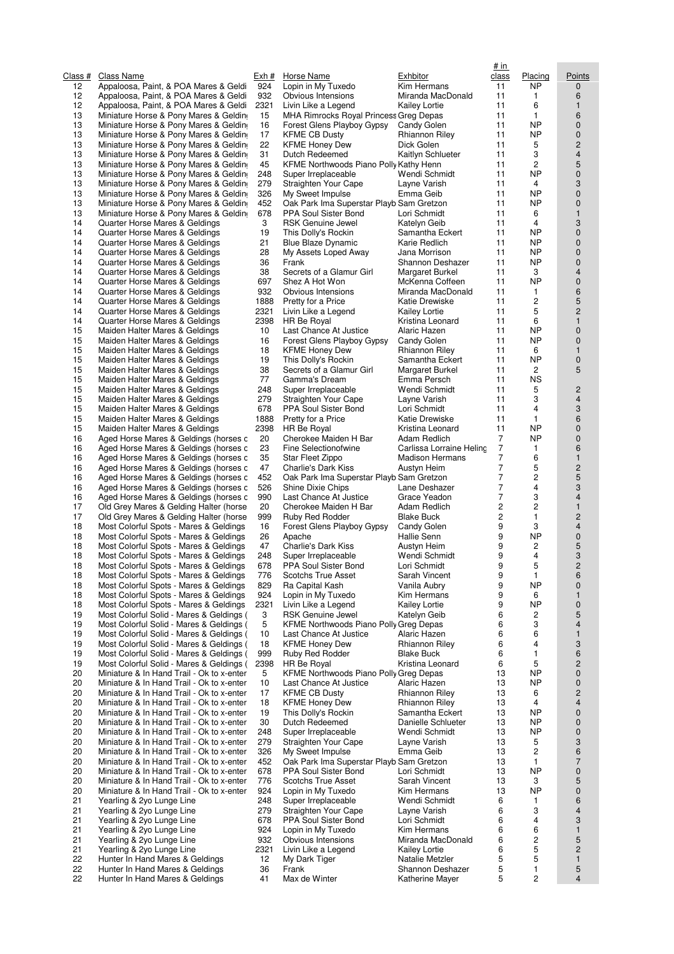| Class #  | Class Name                                                                             | Exh #       | Horse Name                                                           | Exhbitor                                 | # in<br>class       | Placing             | Points                        |
|----------|----------------------------------------------------------------------------------------|-------------|----------------------------------------------------------------------|------------------------------------------|---------------------|---------------------|-------------------------------|
| 12       | Appaloosa, Paint, & POA Mares & Geldi                                                  | 924         | Lopin in My Tuxedo                                                   | Kim Hermans                              | 11                  | <b>NP</b>           | $\mathbf{0}$                  |
| 12       | Appaloosa, Paint, & POA Mares & Geldi                                                  | 932         | Obvious Intensions                                                   | Miranda MacDonald                        | 11                  | 1                   | 6                             |
| 12<br>13 | Appaloosa, Paint, & POA Mares & Geldi<br>Miniature Horse & Pony Mares & Geldin         | 2321<br>15  | Livin Like a Legend                                                  | <b>Kailey Lortie</b>                     | 11<br>11            | 6<br>1              | $\mathbf{1}$<br>6             |
| 13       | Miniature Horse & Pony Mares & Geldin                                                  | 16          | MHA Rimrocks Royal Princess Greg Depas<br>Forest Glens Playboy Gypsy | Candy Golen                              | 11                  | <b>NP</b>           | $\mathbf 0$                   |
| 13       | Miniature Horse & Pony Mares & Geldin                                                  | 17          | <b>KFME CB Dusty</b>                                                 | Rhiannon Riley                           | 11                  | <b>NP</b>           | 0                             |
| 13       | Miniature Horse & Pony Mares & Geldin                                                  | 22          | <b>KFME Honey Dew</b>                                                | Dick Golen                               | 11                  | 5                   | $\overline{c}$                |
| 13       | Miniature Horse & Pony Mares & Geldin                                                  | 31          | Dutch Redeemed                                                       | Kaitlyn Schlueter                        | 11                  | 3                   | $\overline{4}$                |
| 13       | Miniature Horse & Pony Mares & Geldin                                                  | 45          | KFME Northwoods Piano Polly Kathy Henn                               |                                          | 11                  | 2<br><b>NP</b>      | 5                             |
| 13<br>13 | Miniature Horse & Pony Mares & Geldin<br>Miniature Horse & Pony Mares & Geldin         | 248<br>279  | Super Irreplaceable<br>Straighten Your Cape                          | Wendi Schmidt<br>Layne Varish            | 11<br>11            | 4                   | $\pmb{0}$<br>3                |
| 13       | Miniature Horse & Pony Mares & Geldin                                                  | 326         | My Sweet Impulse                                                     | Emma Geib                                | 11                  | <b>NP</b>           | $\mathbf 0$                   |
| 13       | Miniature Horse & Pony Mares & Geldin                                                  | 452         | Oak Park Ima Superstar Playb Sam Gretzon                             |                                          | 11                  | <b>NP</b>           | $\mathbf 0$                   |
| 13       | Miniature Horse & Pony Mares & Geldin                                                  | 678         | PPA Soul Sister Bond                                                 | Lori Schmidt                             | 11                  | 6                   | $\mathbf{1}$                  |
| 14<br>14 | Quarter Horse Mares & Geldings                                                         | 3<br>19     | <b>RSK Genuine Jewel</b>                                             | Katelyn Geib                             | 11                  | 4<br><b>NP</b>      | 3                             |
| 14       | Quarter Horse Mares & Geldings<br>Quarter Horse Mares & Geldings                       | 21          | This Dolly's Rockin<br><b>Blue Blaze Dynamic</b>                     | Samantha Eckert<br>Karie Redlich         | 11<br>11            | <b>NP</b>           | $\pmb{0}$<br>0                |
| 14       | Quarter Horse Mares & Geldings                                                         | 28          | My Assets Loped Away                                                 | Jana Morrison                            | 11                  | <b>NP</b>           | $\mathbf 0$                   |
| 14       | Quarter Horse Mares & Geldings                                                         | 36          | Frank                                                                | Shannon Deshazer                         | 11                  | <b>NP</b>           | $\pmb{0}$                     |
| 14       | Quarter Horse Mares & Geldings                                                         | 38          | Secrets of a Glamur Girl                                             | Margaret Burkel                          | 11                  | 3                   | $\overline{4}$                |
| 14       | Quarter Horse Mares & Geldings                                                         | 697         | Shez A Hot Won                                                       | McKenna Coffeen                          | 11                  | <b>NP</b>           | $\mathbf 0$                   |
| 14<br>14 | Quarter Horse Mares & Geldings<br>Quarter Horse Mares & Geldings                       | 932<br>1888 | Obvious Intensions<br>Pretty for a Price                             | Miranda MacDonald<br>Katie Drewiske      | 11<br>11            | 1<br>$\overline{c}$ | 6<br>$\sqrt{5}$               |
| 14       | Quarter Horse Mares & Geldings                                                         | 2321        | Livin Like a Legend                                                  | <b>Kailey Lortie</b>                     | 11                  | 5                   | $\overline{c}$                |
| 14       | Quarter Horse Mares & Geldings                                                         | 2398        | HR Be Royal                                                          | Kristina Leonard                         | 11                  | 6                   | $\mathbf{1}$                  |
| 15       | Maiden Halter Mares & Geldings                                                         | 10          | Last Chance At Justice                                               | Alaric Hazen                             | 11                  | <b>NP</b>           | $\pmb{0}$                     |
| 15       | Maiden Halter Mares & Geldings                                                         | 16          | Forest Glens Playboy Gypsy                                           | Candy Golen                              | 11                  | <b>NP</b>           | $\pmb{0}$                     |
| 15<br>15 | Maiden Halter Mares & Geldings<br>Maiden Halter Mares & Geldings                       | 18<br>19    | <b>KFME Honey Dew</b><br>This Dolly's Rockin                         | Rhiannon Riley<br>Samantha Eckert        | 11<br>11            | 6<br><b>NP</b>      | $\mathbf{1}$<br>$\mathbf 0$   |
| 15       | Maiden Halter Mares & Geldings                                                         | 38          | Secrets of a Glamur Girl                                             | Margaret Burkel                          | 11                  | 2                   | 5                             |
| 15       | Maiden Halter Mares & Geldings                                                         | 77          | Gamma's Dream                                                        | Emma Persch                              | 11                  | <b>NS</b>           |                               |
| 15       | Maiden Halter Mares & Geldings                                                         | 248         | Super Irreplaceable                                                  | Wendi Schmidt                            | 11                  | 5                   | $\overline{c}$                |
| 15       | Maiden Halter Mares & Geldings                                                         | 279         | Straighten Your Cape                                                 | Layne Varish                             | 11                  | 3                   | $\overline{4}$                |
| 15<br>15 | Maiden Halter Mares & Geldings<br>Maiden Halter Mares & Geldings                       | 678<br>1888 | PPA Soul Sister Bond<br>Pretty for a Price                           | Lori Schmidt<br>Katie Drewiske           | 11<br>11            | 4<br>$\mathbf{1}$   | 3<br>6                        |
| 15       | Maiden Halter Mares & Geldings                                                         | 2398        | HR Be Royal                                                          | Kristina Leonard                         | 11                  | <b>NP</b>           | $\mathbf 0$                   |
| 16       | Aged Horse Mares & Geldings (horses c                                                  | 20          | Cherokee Maiden H Bar                                                | Adam Redlich                             | 7                   | <b>NP</b>           | $\mathbf 0$                   |
| 16       | Aged Horse Mares & Geldings (horses c                                                  | 23          | Fine Selectionofwine                                                 | Carlissa Lorraine Heling                 | 7                   | 1                   | 6                             |
| 16       | Aged Horse Mares & Geldings (horses c                                                  | 35          | Star Fleet Zippo                                                     | <b>Madison Hermans</b>                   | 7                   | 6                   | $\mathbf{1}$                  |
| 16       | Aged Horse Mares & Geldings (horses c                                                  | 47          | Charlie's Dark Kiss                                                  | Austyn Heim                              | $\overline{7}$      | 5<br>$\overline{c}$ | $\overline{c}$                |
| 16<br>16 | Aged Horse Mares & Geldings (horses c<br>Aged Horse Mares & Geldings (horses c         | 452<br>526  | Oak Park Ima Superstar Playb Sam Gretzon<br>Shine Dixie Chips        | Lane Deshazer                            | 7<br>$\overline{7}$ | 4                   | $\sqrt{5}$<br>3               |
| 16       | Aged Horse Mares & Geldings (horses c                                                  | 990         | Last Chance At Justice                                               | Grace Yeadon                             | 7                   | 3                   | $\overline{4}$                |
| 17       | Old Grey Mares & Gelding Halter (horse                                                 | 20          | Cherokee Maiden H Bar                                                | Adam Redlich                             | 2                   | $\overline{c}$      | $\mathbf{1}$                  |
| 17       | Old Grey Mares & Gelding Halter (horse                                                 | 999         | Ruby Red Rodder                                                      | <b>Blake Buck</b>                        | 2                   | 1                   | $\overline{c}$                |
| 18       | Most Colorful Spots - Mares & Geldings                                                 | 16          | Forest Glens Playboy Gypsy<br>Apache                                 | Candy Golen                              | 9<br>9              | 3<br><b>NP</b>      | $\overline{4}$<br>0           |
| 18<br>18 | Most Colorful Spots - Mares & Geldings<br>Most Colorful Spots - Mares & Geldings       | 26<br>47    | Charlie's Dark Kiss                                                  | Hallie Senn<br>Austyn Heim               | 9                   | 2                   | 5                             |
| 18       | Most Colorful Spots - Mares & Geldings                                                 | 248         | Super Irreplaceable                                                  | Wendi Schmidt                            | 9                   | 4                   | 3                             |
| 18       | Most Colorful Spots - Mares & Geldings                                                 | 678         | PPA Soul Sister Bond                                                 | Lori Schmidt                             | q                   | 5                   | $\overline{2}$                |
| 18       | Most Colorful Spots - Mares & Geldings                                                 | 776         | <b>Scotchs True Asset</b>                                            | Sarah Vincent                            | 9                   | 1                   | 6                             |
| 18<br>18 | Most Colorful Spots - Mares & Geldings<br>Most Colorful Spots - Mares & Geldings       | 829<br>924  | Ra Capital Kash<br>Lopin in My Tuxedo                                | Vanila Aubry<br>Kim Hermans              | 9<br>9              | <b>NP</b><br>6      | $\mathbf 0$<br>$\mathbf{1}$   |
| 18       | Most Colorful Spots - Mares & Geldings                                                 | 2321        | Livin Like a Legend                                                  | <b>Kailey Lortie</b>                     | 9                   | <b>NP</b>           | $\mathbf 0$                   |
| 19       | Most Colorful Solid - Mares & Geldings (                                               | 3           | <b>RSK Genuine Jewel</b>                                             | Katelyn Geib                             | 6                   | 2                   | 5                             |
| 19       | Most Colorful Solid - Mares & Geldings (                                               | 5           | KFME Northwoods Piano Polly Greg Depas                               |                                          | 6                   | 3                   | 4                             |
| 19       | Most Colorful Solid - Mares & Geldings (                                               | 10          | Last Chance At Justice                                               | Alaric Hazen                             | 6                   | 6                   | $\mathbf{1}$                  |
| 19<br>19 | Most Colorful Solid - Mares & Geldings (<br>Most Colorful Solid - Mares & Geldings (   | 18<br>999   | <b>KFME Honey Dew</b><br>Ruby Red Rodder                             | Rhiannon Riley<br><b>Blake Buck</b>      | 6<br>6              | 4<br>1              | 3<br>6                        |
| 19       | Most Colorful Solid - Mares & Geldings (                                               | 2398        | <b>HR Be Royal</b>                                                   | Kristina Leonard                         | 6                   | 5                   | $\overline{c}$                |
| 20       | Miniature & In Hand Trail - Ok to x-enter                                              | 5           | KFME Northwoods Piano Polly Greg Depas                               |                                          | 13                  | <b>NP</b>           | $\mathbf 0$                   |
| 20       | Miniature & In Hand Trail - Ok to x-enter                                              | 10          | Last Chance At Justice                                               | Alaric Hazen                             | 13                  | <b>NP</b>           | 0                             |
| 20       | Miniature & In Hand Trail - Ok to x-enter                                              | 17          | <b>KFME CB Dusty</b>                                                 | <b>Rhiannon Riley</b>                    | 13                  | 6                   | $\overline{c}$                |
| 20<br>20 | Miniature & In Hand Trail - Ok to x-enter<br>Miniature & In Hand Trail - Ok to x-enter | 18<br>19    | <b>KFME Honey Dew</b><br>This Dolly's Rockin                         | <b>Rhiannon Riley</b><br>Samantha Eckert | 13<br>13            | 4<br><b>NP</b>      | $\overline{4}$<br>$\pmb{0}$   |
| 20       | Miniature & In Hand Trail - Ok to x-enter                                              | 30          | Dutch Redeemed                                                       | Danielle Schlueter                       | 13                  | <b>NP</b>           | $\mathbf 0$                   |
| 20       | Miniature & In Hand Trail - Ok to x-enter                                              | 248         | Super Irreplaceable                                                  | Wendi Schmidt                            | 13                  | <b>NP</b>           | $\pmb{0}$                     |
| 20       | Miniature & In Hand Trail - Ok to x-enter                                              | 279         | Straighten Your Cape                                                 | Layne Varish                             | 13                  | 5                   | 3                             |
| 20       | Miniature & In Hand Trail - Ok to x-enter                                              | 326         | My Sweet Impulse                                                     | Emma Geib                                | 13                  | 2                   | 6                             |
| 20<br>20 | Miniature & In Hand Trail - Ok to x-enter<br>Miniature & In Hand Trail - Ok to x-enter | 452<br>678  | Oak Park Ima Superstar Playb Sam Gretzon<br>PPA Soul Sister Bond     | Lori Schmidt                             | 13<br>13            | 1<br><b>NP</b>      | $\overline{7}$<br>$\mathbf 0$ |
| 20       | Miniature & In Hand Trail - Ok to x-enter                                              | 776         | Scotchs True Asset                                                   | Sarah Vincent                            | 13                  | 3                   | 5                             |
| 20       | Miniature & In Hand Trail - Ok to x-enter                                              | 924         | Lopin in My Tuxedo                                                   | Kim Hermans                              | 13                  | <b>NP</b>           | $\pmb{0}$                     |
| 21       | Yearling & 2yo Lunge Line                                                              | 248         | Super Irreplaceable                                                  | Wendi Schmidt                            | 6                   | $\mathbf{1}$        | 6                             |
| 21       | Yearling & 2yo Lunge Line                                                              | 279         | Straighten Your Cape                                                 | Layne Varish                             | 6                   | 3                   | 4                             |
| 21<br>21 | Yearling & 2yo Lunge Line<br>Yearling & 2yo Lunge Line                                 | 678<br>924  | PPA Soul Sister Bond<br>Lopin in My Tuxedo                           | Lori Schmidt<br>Kim Hermans              | 6<br>6              | 4<br>6              | 3<br>$\mathbf{1}$             |
| 21       | Yearling & 2yo Lunge Line                                                              | 932         | Obvious Intensions                                                   | Miranda MacDonald                        | 6                   | $\overline{c}$      | 5                             |
| 21       | Yearling & 2yo Lunge Line                                                              | 2321        | Livin Like a Legend                                                  | <b>Kailey Lortie</b>                     | 6                   | 5                   | $\overline{c}$                |
| 22       | Hunter In Hand Mares & Geldings                                                        | 12          | My Dark Tiger                                                        | Natalie Metzler                          | 5                   | 5                   | $\mathbf{1}$                  |
| 22       | Hunter In Hand Mares & Geldings                                                        | 36          | Frank                                                                | Shannon Deshazer                         | 5                   | 1                   | 5                             |
| 22       | Hunter In Hand Mares & Geldings                                                        | 41          | Max de Winter                                                        | Katherine Mayer                          | 5                   | $\overline{c}$      | $\overline{4}$                |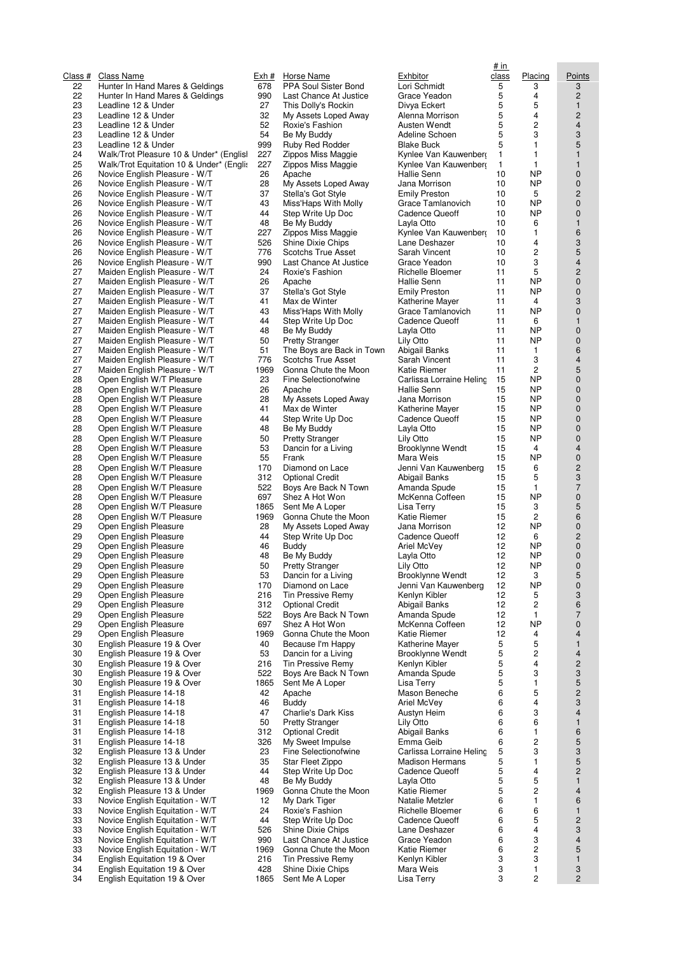| <u>Class #</u> | Class Name                                                         | <u>Exh #</u> | <b>Horse Name</b>                              | <u>Exhbitor</u>             |
|----------------|--------------------------------------------------------------------|--------------|------------------------------------------------|-----------------------------|
| 22<br>22       | Hunter In Hand Mares & Geldings<br>Hunter In Hand Mares & Geldings | 678<br>990   | PPA Soul Sister Bond<br>Last Chance At Justice | Lori Sch<br>Grace Y         |
| 23             | Leadline 12 & Under                                                | 27           | This Dolly's Rockin                            | Divya E                     |
| 23             | Leadline 12 & Under                                                | 32           | My Assets Loped Away                           | Alenna l                    |
| 23             | Leadline 12 & Under                                                | 52           | Roxie's Fashion                                | Austen \                    |
| 23             | Leadline 12 & Under                                                | 54           | Be My Buddy                                    | Adeline                     |
| 23<br>24       | Leadline 12 & Under<br>Walk/Trot Pleasure 10 & Under* (Englisl     | 999<br>227   | Ruby Red Rodder<br>Zippos Miss Maggie          | <b>Blake Br</b><br>Kynlee \ |
| 25             | Walk/Trot Equitation 10 & Under* (Engli:                           | 227          | Zippos Miss Maggie                             | Kynlee \                    |
| 26             | Novice English Pleasure - W/T                                      | 26           | Apache                                         | Hallie S                    |
| 26             | Novice English Pleasure - W/T                                      | 28           | My Assets Loped Away                           | Jana Mo                     |
| 26             | Novice English Pleasure - W/T                                      | 37           | Stella's Got Style                             | <b>Emily Pr</b>             |
| 26             | Novice English Pleasure - W/T                                      | 43           | Miss'Haps With Molly                           | Grace T                     |
| 26<br>26       | Novice English Pleasure - W/T<br>Novice English Pleasure - W/T     | 44<br>48     | Step Write Up Doc                              | Cadenc<br>Layla Ot          |
| 26             | Novice English Pleasure - W/T                                      | 227          | Be My Buddy<br>Zippos Miss Maggie              | Kynlee \                    |
| 26             | Novice English Pleasure - W/T                                      | 526          | Shine Dixie Chips                              | Lane De                     |
| 26             | Novice English Pleasure - W/T                                      | 776          | Scotchs True Asset                             | Sarah V                     |
| 26             | Novice English Pleasure - W/T                                      | 990          | Last Chance At Justice                         | Grace Y                     |
| 27             | Maiden English Pleasure - W/T                                      | 24           | Roxie's Fashion                                | Richelle                    |
| 27<br>27       | Maiden English Pleasure - W/T<br>Maiden English Pleasure - W/T     | 26<br>37     | Apache<br>Stella's Got Style                   | Hallie S<br><b>Emily Pr</b> |
| 27             | Maiden English Pleasure - W/T                                      | 41           | Max de Winter                                  | Katherin                    |
| 27             | Maiden English Pleasure - W/T                                      | 43           | Miss'Haps With Molly                           | Grace T                     |
| 27             | Maiden English Pleasure - W/T                                      | 44           | Step Write Up Doc                              | Cadenc                      |
| 27             | Maiden English Pleasure - W/T                                      | 48           | Be My Buddy                                    | Layla Ot                    |
| 27             | Maiden English Pleasure - W/T                                      | 50           | <b>Pretty Stranger</b>                         | Lily Otto                   |
| 27<br>27       | Maiden English Pleasure - W/T<br>Maiden English Pleasure - W/T     | 51<br>776    | The Boys are Back in Town                      | Abigail E                   |
| 27             | Maiden English Pleasure - W/T                                      | 1969         | Scotchs True Asset<br>Gonna Chute the Moon     | Sarah V<br>Katie Ri         |
| 28             | Open English W/T Pleasure                                          | 23           | Fine Selectionofwine                           | Carlissa                    |
| 28             | Open English W/T Pleasure                                          | 26           | Apache                                         | Hallie S                    |
| 28             | Open English W/T Pleasure                                          | 28           | My Assets Loped Away                           | Jana Mc                     |
| 28             | Open English W/T Pleasure                                          | 41           | Max de Winter                                  | Katherin                    |
| 28             | Open English W/T Pleasure                                          | 44           | Step Write Up Doc                              | Cadenc                      |
| 28<br>28       | Open English W/T Pleasure<br>Open English W/T Pleasure             | 48<br>50     | Be My Buddy<br><b>Pretty Stranger</b>          | Layla Ot<br>Lily Otto       |
| 28             | Open English W/T Pleasure                                          | 53           | Dancin for a Living                            | Brooklyr                    |
| 28             | Open English W/T Pleasure                                          | 55           | Frank                                          | Mara W                      |
| 28             | Open English W/T Pleasure                                          | 170          | Diamond on Lace                                | Jenni Va                    |
| 28             | Open English W/T Pleasure                                          | 312          | <b>Optional Credit</b>                         | Abigail E                   |
| 28             | Open English W/T Pleasure                                          | 522          | Boys Are Back N Town                           | Amanda                      |
| 28<br>28       | Open English W/T Pleasure<br>Open English W/T Pleasure             | 697<br>1865  | Shez A Hot Won<br>Sent Me A Loper              | McKenn<br>Lisa Ter          |
| 28             | Open English W/T Pleasure                                          | 1969         | Gonna Chute the Moon                           | Katie Ri                    |
| 29             | Open English Pleasure                                              | 28           | My Assets Loped Away                           | Jana Mo                     |
| 29             | Open English Pleasure                                              | 44           | Step Write Up Doc                              | Cadence                     |
| 29             | Open English Pleasure                                              | 46           | Buddy                                          | Ariel Mc                    |
| 29<br>29       | Open English Pleasure<br>Open English Pleasure                     | 48<br>50     | Be My Buddy                                    | Layla Ot                    |
| 29             | Open English Pleasure                                              | 53           | <b>Pretty Stranger</b><br>Dancin for a Living  | Lily Otto<br>Brooklyr       |
| 29             | Open English Pleasure                                              | 170          | Diamond on Lace                                | Jenni Va                    |
| 29             | Open English Pleasure                                              | 216          | Tin Pressive Remy                              | Kenlyn ł                    |
| 29             | Open English Pleasure                                              | 312          | <b>Optional Credit</b>                         | Abigail E                   |
| 29             | Open English Pleasure                                              | 522          | Boys Are Back N Town                           | Amanda                      |
| 29<br>29       | Open English Pleasure<br>Open English Pleasure                     | 697<br>1969  | Shez A Hot Won<br>Gonna Chute the Moon         | McKenn<br>Katie Ri          |
| 30             | English Pleasure 19 & Over                                         | 40           | Because I'm Happy                              | Katherin                    |
| 30             | English Pleasure 19 & Over                                         | 53           | Dancin for a Living                            | <b>Brooklyr</b>             |
| 30             | English Pleasure 19 & Over                                         | 216          | Tin Pressive Remy                              | Kenlyn ł                    |
| 30             | English Pleasure 19 & Over                                         | 522          | Boys Are Back N Town                           | Amanda                      |
| 30             | English Pleasure 19 & Over                                         | 1865         | Sent Me A Loper                                | Lisa Ter                    |
| 31<br>31       | English Pleasure 14-18<br>English Pleasure 14-18                   | 42<br>46     | Apache<br>Buddy                                | Mason E<br>Ariel Mc         |
| 31             | English Pleasure 14-18                                             | 47           | Charlie's Dark Kiss                            | Austyn I                    |
| 31             | English Pleasure 14-18                                             | 50           | <b>Pretty Stranger</b>                         | Lily Otto                   |
| 31             | English Pleasure 14-18                                             | 312          | <b>Optional Credit</b>                         | Abigail E                   |
| 31             | English Pleasure 14-18                                             | 326          | My Sweet Impulse                               | Emma C                      |
| 32             | English Pleasure 13 & Under                                        | 23           | Fine Selectionofwine                           | Carlissa                    |
| 32<br>32       | English Pleasure 13 & Under<br>English Pleasure 13 & Under         | 35<br>44     | Star Fleet Zippo<br>Step Write Up Doc          | Madisor<br>Cadence          |
| 32             | English Pleasure 13 & Under                                        | 48           | Be My Buddy                                    | Layla Ot                    |
| 32             | English Pleasure 13 & Under                                        | 1969         | Gonna Chute the Moon                           | Katie Ri                    |
| 33             | Novice English Equitation - W/T                                    | 12           | My Dark Tiger                                  | Natalie I                   |
| 33             | Novice English Equitation - W/T                                    | 24           | Roxie's Fashion                                | Richelle                    |
| 33             | Novice English Equitation - W/T                                    | 44           | Step Write Up Doc                              | Cadenc                      |
| 33<br>33       | Novice English Equitation - W/T<br>Novice English Equitation - W/T | 526<br>990   | Shine Dixie Chips<br>Last Chance At Justice    | Lane De<br>Grace Y          |
| 33             | Novice English Equitation - W/T                                    | 1969         | Gonna Chute the Moon                           | Katie Ri                    |
| 34             | English Equitation 19 & Over                                       | 216          | Tin Pressive Remy                              | Kenlyn ł                    |
| 34             | English Equitation 19 & Over                                       | 428          | Shine Dixie Chips                              | Mara W                      |
| 34             | English Equitation 19 & Over                                       | 1865         | Sent Me A Loper                                | Lisa Ter                    |

| <u>ch #</u> | <u>Horse Name</u>                               |
|-------------|-------------------------------------------------|
| 78ء         | PPA Soul Sister Bond                            |
| )90<br>27   | Last Chance At Justice<br>This Dolly's Rockin   |
| 32          | My Assets Loped Away                            |
| 52          | Roxie's Fashion                                 |
| 54          | Be My Buddy                                     |
| 199         | Ruby Red Rodder                                 |
| 27          | Zippos Miss Maggie                              |
| 27<br>26    | Zippos Miss Maggie                              |
| 28          | Apache<br>My Assets Loped Away                  |
| 37          | Stella's Got Style                              |
| 43          | Miss'Haps With Molly                            |
| 44          | Step Write Up Doc                               |
| 48<br>27    | Be My Buddy                                     |
| 26 i        | Zippos Miss Maggie<br>Shine Dixie Chips         |
| 76          | Scotchs True Asset                              |
| )90         | Last Chance At Justice                          |
| 24          | Roxie's Fashion                                 |
| 26          | Apache                                          |
| 37<br>41    | Stella's Got Style<br>Max de Winter             |
| 43          | Miss'Haps With Molly                            |
| 44          | Step Write Up Doc                               |
| 48          | Be My Buddy                                     |
| 50          | <b>Pretty Stranger</b>                          |
| 51<br>76    | The Boys are Back in Town<br>Scotchs True Asset |
| 969         | Gonna Chute the Moon                            |
| 23          | Fine Selectionofwine                            |
| 26          | Apache                                          |
| 28          | My Assets Loped Away                            |
| 41          | Max de Winter                                   |
| 44<br>48    | Step Write Up Doc<br>Be My Buddy                |
| 50          | Pretty Stranger                                 |
| 53          | Dancin for a Living                             |
| 55          | Frank                                           |
| 70          | Diamond on Lace                                 |
| 812<br>,22  | Optional Credit<br>Boys Are Back N Town         |
| 597         | Shez A Hot Won                                  |
| 865         | Sent Me A Loper                                 |
| 969         | Gonna Chute the Moon                            |
| 28          | My Assets Loped Away                            |
| 44<br>46    | Step Write Up Doc<br>Buddy                      |
| 48          | Be My Buddy                                     |
| 50          | Pretty Stranger                                 |
| 53          | Dancin for a Living                             |
| 70          | Diamond on Lace                                 |
| 216<br>812  | Tin Pressive Remy<br><b>Optional Credit</b>     |
| 22ة         | Boys Are Back N Town                            |
| 597         | Shez A Hot Won                                  |
| 969         | Gonna Chute the Moon                            |
| 40          | Because I'm Happy                               |
| 53<br>:16   | Dancin for a Living<br>Tin Pressive Remy        |
| 22 i        | Boys Are Back N Town                            |
| 865         | Sent Me A Loper                                 |
| 42          | Apache                                          |
| 46          | Buddy                                           |
| 47          | Charlie's Dark Kiss                             |
| 50<br>812   | <b>Pretty Stranger</b><br>Optional Credit       |
| 826         | My Sweet Impulse                                |
| 23          | Fine Selectionofwine                            |
| 35          | Star Fleet Zippo                                |
| 44          | Step Write Up Doc                               |
| 48<br>969   | Be My Buddy<br>Gonna Chute the Moon             |
| 12          | My Dark Tiger                                   |
| 24          | Roxie's Fashion                                 |
| 44          | Step Write Up Doc                               |
| 26ة         | Shine Dixie Chips                               |
| )90<br>969  | Last Chance At Justice<br>Gonna Chute the Moon  |
| :16         | Tin Pressive Remy                               |
| <b>28</b>   | Shine Dixie Chips                               |
| 865         | Sent Me A Loper                                 |
|             |                                                 |

| RSS#     | Class Name                                                         | Exh #       | Horse Name                                      | Exhbitor                                 | <u># in</u><br>class | Placing                | Points                      |
|----------|--------------------------------------------------------------------|-------------|-------------------------------------------------|------------------------------------------|----------------------|------------------------|-----------------------------|
| 22<br>22 | Hunter In Hand Mares & Geldings<br>Hunter In Hand Mares & Geldings | 678<br>990  | PPA Soul Sister Bond<br>Last Chance At Justice  | Lori Schmidt<br>Grace Yeadon             | 5<br>5               | 3<br>4                 | 3<br>$\overline{c}$         |
| 23       | Leadline 12 & Under                                                | 27          | This Dolly's Rockin                             | Divya Eckert                             | 5                    | 5                      | $\mathbf{1}$                |
| 23       | Leadline 12 & Under                                                | 32          | My Assets Loped Away                            | Alenna Morrison                          | 5                    | 4                      | 2                           |
| 23       | Leadline 12 & Under                                                | 52          | Roxie's Fashion                                 | Austen Wendt                             | 5                    | 2                      | $\overline{4}$              |
| 23       | Leadline 12 & Under                                                | 54          | Be My Buddy                                     | Adeline Schoen                           | 5                    | 3                      | 3                           |
| 23<br>24 | Leadline 12 & Under<br>Walk/Trot Pleasure 10 & Under* (Englis)     | 999<br>227  | Ruby Red Rodder<br>Zippos Miss Maggie           | Blake Buck<br>Kynlee Van Kauwenberg      | 5<br>1               | 1<br>1                 | 5<br>$\mathbf{1}$           |
| 25       | Walk/Trot Equitation 10 & Under* (Engli:                           | 227         | Zippos Miss Maggie                              | Kynlee Van Kauwenberg                    | 1                    | 1                      | $\mathbf{1}$                |
| 26       | Novice English Pleasure - W/T                                      | 26          | Apache                                          | Hallie Senn                              | 10                   | <b>NP</b>              | $\mathbf 0$                 |
| 26       | Novice English Pleasure - W/T                                      | 28          | My Assets Loped Away                            | Jana Morrison                            | 10                   | <b>NP</b>              | $\mathbf 0$                 |
| 26       | Novice English Pleasure - W/T                                      | 37          | Stella's Got Style                              | <b>Emily Preston</b>                     | 10                   | 5                      | $\overline{c}$              |
| 26       | Novice English Pleasure - W/T                                      | 43          | Miss'Haps With Molly                            | Grace Tamlanovich                        | 10                   | <b>NP</b>              | $\mathbf 0$                 |
| 26<br>26 | Novice English Pleasure - W/T<br>Novice English Pleasure - W/T     | 44<br>48    | Step Write Up Doc<br>Be My Buddy                | Cadence Queoff                           | 10<br>10             | <b>NP</b><br>6         | $\pmb{0}$<br>$\mathbf{1}$   |
| 26       | Novice English Pleasure - W/T                                      | 227         | Zippos Miss Maggie                              | Layla Otto<br>Kynlee Van Kauwenberg      | 10                   | 1                      | 6                           |
| 26       | Novice English Pleasure - W/T                                      | 526         | Shine Dixie Chips                               | Lane Deshazer                            | 10                   | 4                      | 3                           |
| 26       | Novice English Pleasure - W/T                                      | 776         | Scotchs True Asset                              | Sarah Vincent                            | 10                   | $\overline{c}$         | 5                           |
| 26       | Novice English Pleasure - W/T                                      | 990         | Last Chance At Justice                          | Grace Yeadon                             | 10                   | 3                      | $\overline{\mathbf{4}}$     |
| 27       | Maiden English Pleasure - W/T                                      | 24          | Roxie's Fashion                                 | Richelle Bloemer                         | 11                   | 5                      | $\overline{c}$              |
| 27<br>27 | Maiden English Pleasure - W/T<br>Maiden English Pleasure - W/T     | 26<br>37    | Apache<br>Stella's Got Style                    | Hallie Senn<br><b>Emily Preston</b>      | 11<br>11             | <b>NP</b><br><b>NP</b> | $\mathbf 0$<br>0            |
| 27       | Maiden English Pleasure - W/T                                      | 41          | Max de Winter                                   | Katherine Mayer                          | 11                   | 4                      | 3                           |
| 27       | Maiden English Pleasure - W/T                                      | 43          | Miss'Haps With Molly                            | Grace Tamlanovich                        | 11                   | <b>NP</b>              | 0                           |
| 27       | Maiden English Pleasure - W/T                                      | 44          | Step Write Up Doc                               | Cadence Queoff                           | 11                   | 6                      | 1                           |
| 27       | Maiden English Pleasure - W/T                                      | 48          | Be My Buddy                                     | Layla Otto                               | 11                   | <b>NP</b>              | $\mathbf 0$                 |
| 27       | Maiden English Pleasure - W/T                                      | 50          | <b>Pretty Stranger</b>                          | Lily Otto                                | 11                   | <b>NP</b>              | $\mathbf 0$                 |
| 27<br>27 | Maiden English Pleasure - W/T<br>Maiden English Pleasure - W/T     | 51<br>776   | The Boys are Back in Town<br>Scotchs True Asset | Abigail Banks<br>Sarah Vincent           | 11<br>11             | 1<br>3                 | 6<br>4                      |
| 27       | Maiden English Pleasure - W/T                                      | 1969        | Gonna Chute the Moon                            | Katie Riemer                             | 11                   | $\overline{c}$         | 5                           |
| 28       | Open English W/T Pleasure                                          | 23          | Fine Selectionofwine                            | Carlissa Lorraine Heling                 | 15                   | <b>NP</b>              | 0                           |
| 28       | Open English W/T Pleasure                                          | 26          | Apache                                          | Hallie Senn                              | 15                   | <b>NP</b>              | 0                           |
| 28       | Open English W/T Pleasure                                          | 28          | My Assets Loped Away                            | Jana Morrison                            | 15                   | <b>NP</b>              | 0                           |
| 28       | Open English W/T Pleasure                                          | 41          | Max de Winter                                   | Katherine Mayer                          | 15                   | <b>NP</b>              | $\mathbf 0$                 |
| 28<br>28 | Open English W/T Pleasure<br>Open English W/T Pleasure             | 44<br>48    | Step Write Up Doc<br>Be My Buddy                | Cadence Queoff<br>Layla Otto             | 15<br>15             | <b>NP</b><br><b>NP</b> | $\mathbf 0$<br>0            |
| 28       | Open English W/T Pleasure                                          | 50          | <b>Pretty Stranger</b>                          | Lily Otto                                | 15                   | <b>NP</b>              | $\pmb{0}$                   |
| 28       | Open English W/T Pleasure                                          | 53          | Dancin for a Living                             | Brooklynne Wendt                         | 15                   | 4                      | 4                           |
| 28       | Open English W/T Pleasure                                          | 55          | Frank                                           | Mara Weis                                | 15                   | <b>NP</b>              | $\pmb{0}$                   |
| 28       | Open English W/T Pleasure                                          | 170         | Diamond on Lace                                 | Jenni Van Kauwenberg                     | 15                   | 6                      | $\overline{c}$              |
| 28       | Open English W/T Pleasure                                          | 312         | <b>Optional Credit</b>                          | Abigail Banks                            | 15                   | 5                      | 3                           |
| 28       | Open English W/T Pleasure                                          | 522         | Boys Are Back N Town                            | Amanda Spude                             | 15                   | 1                      | 7<br>$\mathbf 0$            |
| 28<br>28 | Open English W/T Pleasure<br>Open English W/T Pleasure             | 697<br>1865 | Shez A Hot Won<br>Sent Me A Loper               | McKenna Coffeen<br>Lisa Terry            | 15<br>15             | NP<br>3                | 5                           |
| 28       | Open English W/T Pleasure                                          | 1969        | Gonna Chute the Moon                            | Katie Riemer                             | 15                   | 2                      | 6                           |
| 29       | Open English Pleasure                                              | 28          | My Assets Loped Away                            | Jana Morrison                            | 12                   | <b>NP</b>              | $\pmb{0}$                   |
| 29       | Open English Pleasure                                              | 44          | Step Write Up Doc                               | Cadence Queoff                           | 12                   | 6                      | $\overline{c}$              |
| 29       | Open English Pleasure                                              | 46          | Buddy                                           | Ariel McVey                              | 12                   | <b>NP</b>              | $\mathbf 0$                 |
| 29<br>29 | Open English Pleasure<br>Open English Pleasure                     | 48<br>50    | Be My Buddy<br><b>Pretty Stranger</b>           | Layla Otto<br>Lily Otto                  | 12<br>12             | <b>NP</b><br><b>NP</b> | $\overline{0}$<br>$\pmb{0}$ |
| 29       | Open English Pleasure                                              | 53          | Dancin for a Living                             | Brooklynne Wendt                         | 12                   | 3                      | 5                           |
| 29       | Open English Pleasure                                              | 170         | Diamond on Lace                                 | Jenni Van Kauwenberg                     | 12                   | <b>NP</b>              | $\pmb{0}$                   |
| 29       | Open English Pleasure                                              | 216         | Tin Pressive Remy                               | Kenlyn Kibler                            | 12                   | 5                      | 3                           |
| 29       | Open English Pleasure                                              | 312         | <b>Optional Credit</b>                          | Abigail Banks                            | 12                   | 2                      | 6                           |
| 29       | Open English Pleasure                                              | 522         | Boys Are Back N Town                            | Amanda Spude                             | 12                   | 1                      | 7                           |
| 29       | Open English Pleasure                                              | 697<br>1969 | Shez A Hot Won<br>Gonna Chute the Moon          | McKenna Coffeen<br>Katie Riemer          | 12<br>12             | <b>NP</b><br>4         | 0<br>4                      |
| 29<br>30 | Open English Pleasure<br>English Pleasure 19 & Over                | 40          | Because I'm Happy                               | Katherine Mayer                          | 5                    | 5                      | 1                           |
| 30       | English Pleasure 19 & Over                                         | 53          | Dancin for a Living                             | Brooklynne Wendt                         | 5                    | 2                      | 4                           |
| 30       | English Pleasure 19 & Over                                         | 216         | Tin Pressive Remy                               | Kenlyn Kibler                            | 5                    | 4                      | 2                           |
| 30       | English Pleasure 19 & Over                                         | 522         | Boys Are Back N Town                            | Amanda Spude                             | 5                    | 3                      | 3                           |
| 30       | English Pleasure 19 & Over                                         | 1865        | Sent Me A Loper                                 | Lisa Terry                               | 5                    | 1                      | 5                           |
| 31<br>31 | English Pleasure 14-18<br>English Pleasure 14-18                   | 42<br>46    | Apache<br>Buddy                                 | Mason Beneche<br>Ariel McVey             | 6<br>6               | 5<br>4                 | $\overline{c}$<br>3         |
| 31       | English Pleasure 14-18                                             | 47          | Charlie's Dark Kiss                             | Austyn Heim                              | 6                    | 3                      | 4                           |
| 31       | English Pleasure 14-18                                             | 50          | <b>Pretty Stranger</b>                          | Lily Otto                                | 6                    | 6                      | 1                           |
| 31       | English Pleasure 14-18                                             | 312         | <b>Optional Credit</b>                          | Abigail Banks                            | 6                    | 1                      | 6                           |
| 31       | English Pleasure 14-18                                             | 326         | My Sweet Impulse                                | Emma Geib                                | 6                    | 2                      | 5                           |
| 32       | English Pleasure 13 & Under                                        | 23          | Fine Selectionofwine                            | Carlissa Lorraine Heling                 | 5                    | 3                      | 3                           |
| 32<br>32 | English Pleasure 13 & Under<br>English Pleasure 13 & Under         | 35<br>44    | Star Fleet Zippo<br>Step Write Up Doc           | <b>Madison Hermans</b><br>Cadence Queoff | 5<br>5               | 1<br>4                 | 5<br>$\overline{c}$         |
| 32       | English Pleasure 13 & Under                                        | 48          | Be My Buddy                                     | Layla Otto                               | 5                    | 5                      | 1                           |
| 32       | English Pleasure 13 & Under                                        | 1969        | Gonna Chute the Moon                            | Katie Riemer                             | 5                    | 2                      | 4                           |
| 33       | Novice English Equitation - W/T                                    | 12          | My Dark Tiger                                   | Natalie Metzler                          | 6                    | 1                      | 6                           |
| 33       | Novice English Equitation - W/T                                    | 24          | Roxie's Fashion                                 | Richelle Bloemer                         | 6                    | 6                      | 1                           |
| 33       | Novice English Equitation - W/T                                    | 44          | Step Write Up Doc                               | Cadence Queoff                           | 6                    | 5                      | 2                           |
| 33       | Novice English Equitation - W/T                                    | 526<br>990  | Shine Dixie Chips                               | Lane Deshazer                            | 6<br>6               | 4<br>3                 | 3<br>4                      |
| 33<br>33 | Novice English Equitation - W/T<br>Novice English Equitation - W/T | 1969        | Last Chance At Justice<br>Gonna Chute the Moon  | Grace Yeadon<br>Katie Riemer             | 6                    | 2                      | 5                           |
| 34       | English Equitation 19 & Over                                       | 216         | Tin Pressive Remy                               | Kenlyn Kibler                            | 3                    | 3                      | 1                           |
| 34       | English Equitation 19 & Over                                       | 428         | Shine Dixie Chips                               | Mara Weis                                | 3                    | 1                      | 3                           |
| 34       | English Equitation 19 & Over                                       | 1865        | Sent Me A Loper                                 | Lisa Terry                               | 3                    | 2                      | $\overline{c}$              |
|          |                                                                    |             |                                                 |                                          |                      |                        |                             |